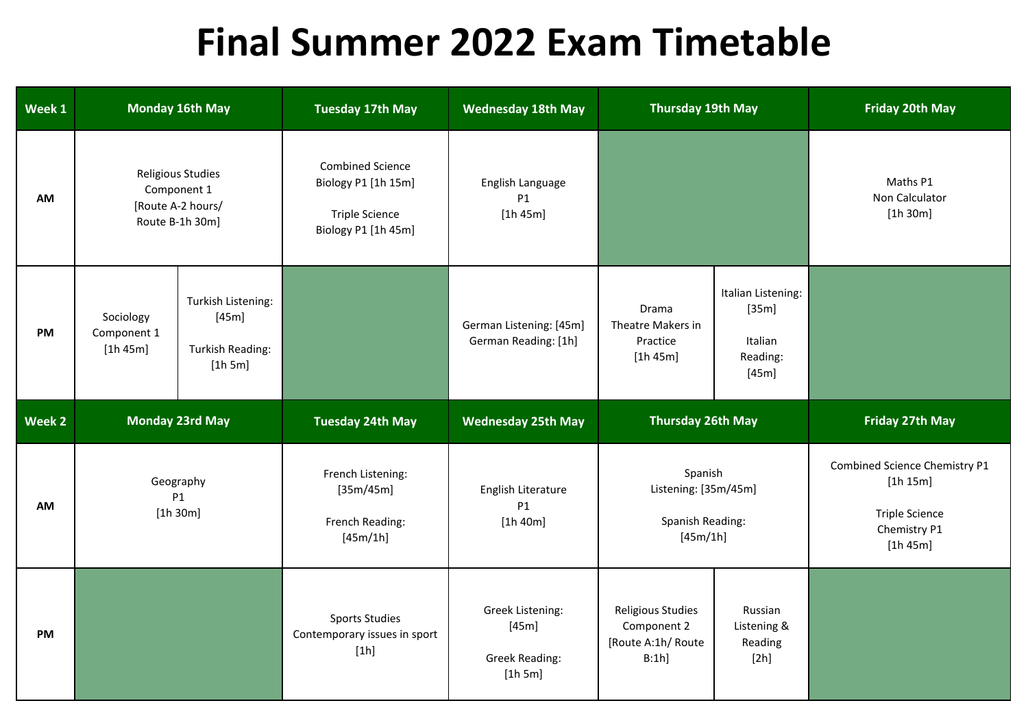## **Final Summer 2022 Exam Timetable**

| Week 1    | <b>Monday 16th May</b>                                                   |                                                            | <b>Tuesday 17th May</b>                                                                        | <b>Wednesday 18th May</b>                       | <b>Thursday 19th May</b>                                        |                                                             | <b>Friday 20th May</b>                                                                         |
|-----------|--------------------------------------------------------------------------|------------------------------------------------------------|------------------------------------------------------------------------------------------------|-------------------------------------------------|-----------------------------------------------------------------|-------------------------------------------------------------|------------------------------------------------------------------------------------------------|
| <b>AM</b> | Religious Studies<br>Component 1<br>[Route A-2 hours/<br>Route B-1h 30m] |                                                            | <b>Combined Science</b><br>Biology P1 [1h 15m]<br><b>Triple Science</b><br>Biology P1 [1h 45m] | English Language<br>P1<br>[1h 45m]              |                                                                 |                                                             | Maths P1<br>Non Calculator<br>[1h 30m]                                                         |
| <b>PM</b> | Sociology<br>Component 1<br>[1h 45m]                                     | Turkish Listening:<br>[45m]<br>Turkish Reading:<br>[1h 5m] |                                                                                                | German Listening: [45m]<br>German Reading: [1h] | Drama<br>Theatre Makers in<br>Practice<br>[1h 45m]              | Italian Listening:<br>[35m]<br>Italian<br>Reading:<br>[45m] |                                                                                                |
|           |                                                                          |                                                            |                                                                                                |                                                 |                                                                 |                                                             |                                                                                                |
| Week 2    |                                                                          | <b>Monday 23rd May</b>                                     | <b>Tuesday 24th May</b>                                                                        | <b>Wednesday 25th May</b>                       | <b>Thursday 26th May</b>                                        |                                                             | <b>Friday 27th May</b>                                                                         |
| <b>AM</b> |                                                                          | Geography<br>P1<br>[1h 30m]                                | French Listening:<br>[35m/45m]<br>French Reading:<br>[45m/1h]                                  | English Literature<br><b>P1</b><br>[1h 40m]     | Spanish<br>Listening: [35m/45m]<br>Spanish Reading:<br>[45m/1h] |                                                             | Combined Science Chemistry P1<br>[1h 15m]<br><b>Triple Science</b><br>Chemistry P1<br>[1h 45m] |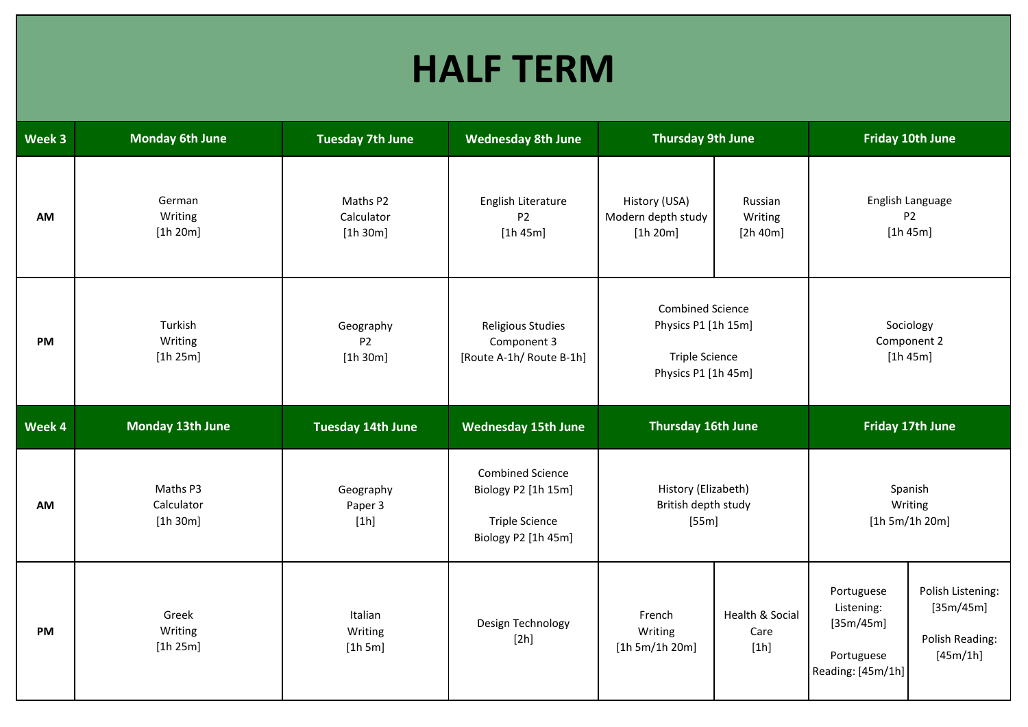## **HALF TERM**

| Week 3    | <b>Monday 6th June</b>             | <b>Tuesday 7th June</b>            | <b>Wednesday 8th June</b>                                                                      | <b>Thursday 9th June</b>                                                                       |                                | <b>Friday 10th June</b>              |                                                |
|-----------|------------------------------------|------------------------------------|------------------------------------------------------------------------------------------------|------------------------------------------------------------------------------------------------|--------------------------------|--------------------------------------|------------------------------------------------|
| <b>AM</b> | German<br>Writing<br>[1h 20m]      | Maths P2<br>Calculator<br>[1h 30m] | English Literature<br>P <sub>2</sub><br>[1h 45m]                                               | History (USA)<br>Modern depth study<br>[1h 20m]                                                | Russian<br>Writing<br>[2h 40m] |                                      | English Language<br>P <sub>2</sub><br>[1h 45m] |
| PM        | Turkish<br>Writing<br>[1h 25m]     | Geography<br><b>P2</b><br>[1h 30m] | <b>Religious Studies</b><br>Component 3<br>[Route A-1h/ Route B-1h]                            | <b>Combined Science</b><br>Physics P1 [1h 15m]<br><b>Triple Science</b><br>Physics P1 [1h 45m] |                                | Sociology<br>Component 2<br>[1h 45m] |                                                |
| Week 4    | <b>Monday 13th June</b>            | <b>Tuesday 14th June</b>           | <b>Wednesday 15th June</b>                                                                     | Thursday 16th June                                                                             |                                |                                      | Friday 17th June                               |
|           |                                    |                                    |                                                                                                |                                                                                                |                                |                                      |                                                |
| AM        | Maths P3<br>Calculator<br>[1h 30m] | Geography<br>Paper 3<br>[1h]       | <b>Combined Science</b><br>Biology P2 [1h 15m]<br><b>Triple Science</b><br>Biology P2 [1h 45m] | History (Elizabeth)<br>British depth study<br>[55m]                                            |                                | [1h 5m/1h 20m]                       | Spanish<br>Writing                             |